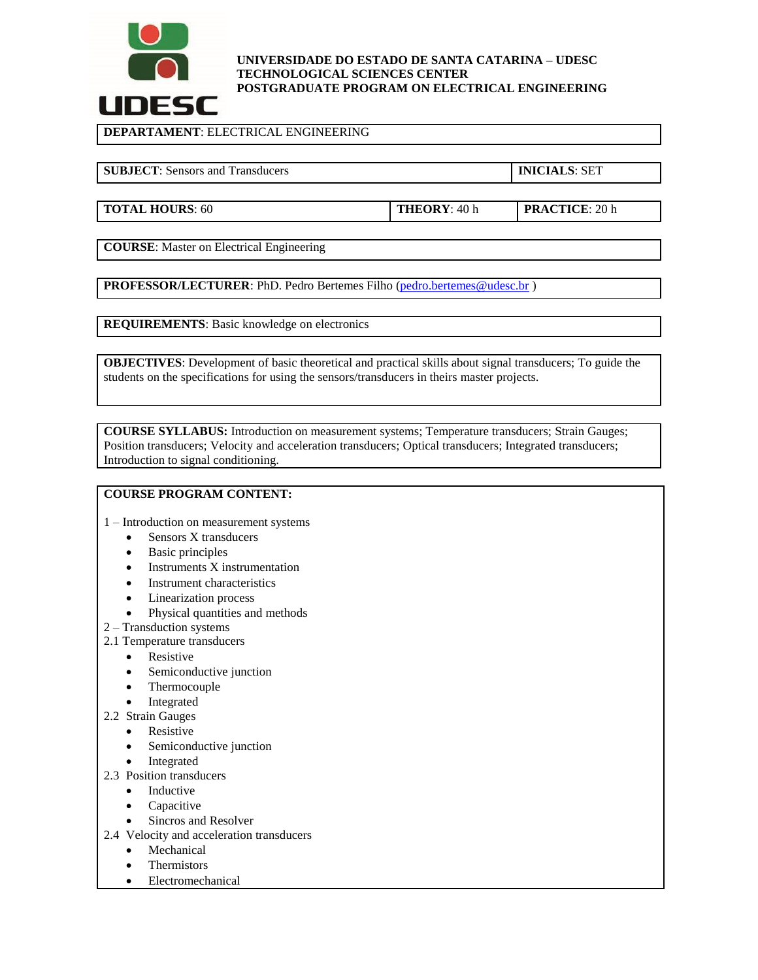

#### **UNIVERSIDADE DO ESTADO DE SANTA CATARINA – UDESC TECHNOLOGICAL SCIENCES CENTER POSTGRADUATE PROGRAM ON ELECTRICAL ENGINEERING**

**DEPARTAMENT**: ELECTRICAL ENGINEERING

**SUBJECT**: Sensors and Transducers **INICIALS**: SET

**TOTAL HOURS**: 60 **THEORY**: 40 h **PRACTICE**: 20 h

**COURSE**: Master on Electrical Engineering

**PROFESSOR/LECTURER:** PhD. Pedro Bertemes Filho [\(pedro.bertemes@udesc.br](mailto:pedro.bertemes@udesc.br))

**REQUIREMENTS**: Basic knowledge on electronics

**OBJECTIVES**: Development of basic theoretical and practical skills about signal transducers; To guide the students on the specifications for using the sensors/transducers in theirs master projects.

**COURSE SYLLABUS:** Introduction on measurement systems; Temperature transducers; Strain Gauges; Position transducers; Velocity and acceleration transducers; Optical transducers; Integrated transducers; Introduction to signal conditioning.

# **COURSE PROGRAM CONTENT:**

- 1 Introduction on measurement systems
	- Sensors X transducers
	- Basic principles
	- Instruments X instrumentation
	- Instrument characteristics
	- Linearization process
	- Physical quantities and methods
- 2 Transduction systems
- 2.1 Temperature transducers
	- Resistive
	- Semiconductive junction
	- Thermocouple
	- Integrated
- 2.2 Strain Gauges
	- Resistive
	- Semiconductive junction
	- Integrated
- 2.3 Position transducers
	- Inductive
	- Capacitive
	- Sincros and Resolver
- 2.4 Velocity and acceleration transducers
	- Mechanical
		- Thermistors
	- Electromechanical